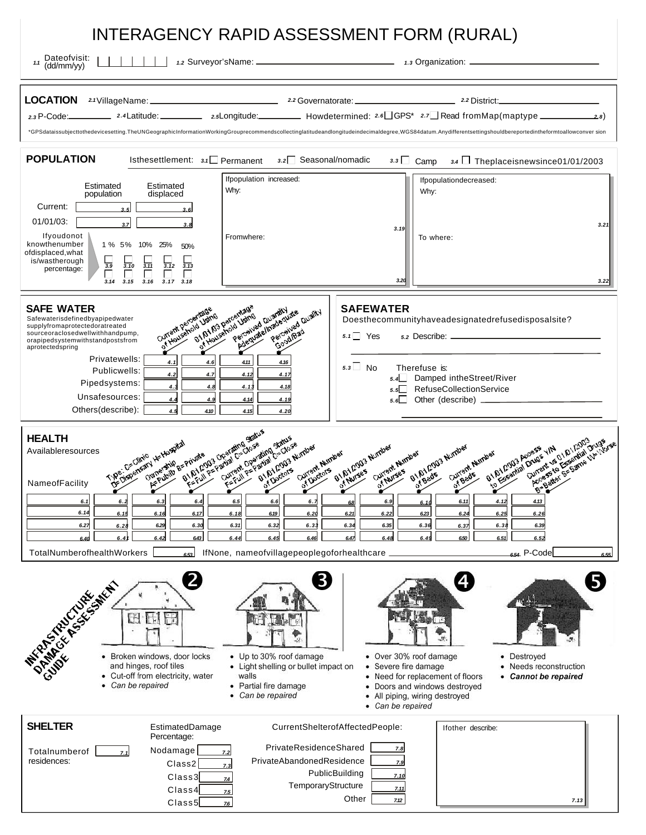